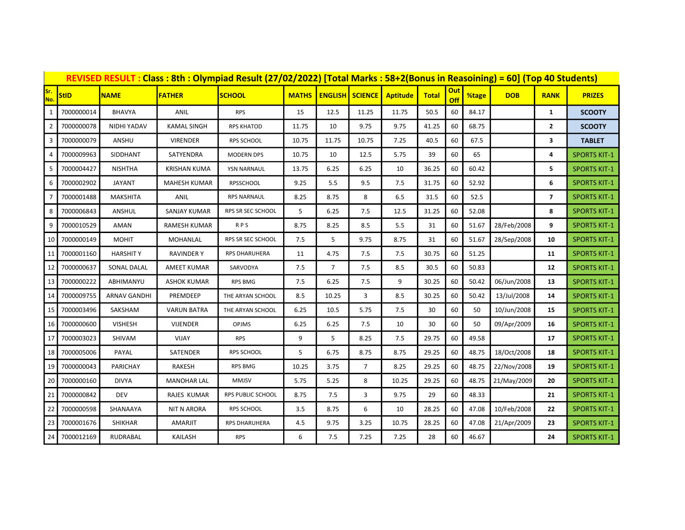| REVISED RESULT: Class: 8th: Olympiad Result (27/02/2022) [Total Marks: 58+2(Bonus in Reasoining) = 60] (Top 40 Students) |             |                 |                     |                          |              |                |                            |                 |              |                   |       |             |                |                     |
|--------------------------------------------------------------------------------------------------------------------------|-------------|-----------------|---------------------|--------------------------|--------------|----------------|----------------------------|-----------------|--------------|-------------------|-------|-------------|----------------|---------------------|
| Sr.<br>No.                                                                                                               | <b>StID</b> | <b>NAME</b>     | <b>FATHER</b>       | <b>SCHOOL</b>            | <b>MATHS</b> |                | <b>ENGLISH   SCIENCE  </b> | <b>Aptitude</b> | <b>Total</b> | <b>Out</b><br>Off | %tage | <b>DOB</b>  | <b>RANK</b>    | <b>PRIZES</b>       |
| 1                                                                                                                        | 7000000014  | <b>BHAVYA</b>   | ANIL                | <b>RPS</b>               | 15           | 12.5           | 11.25                      | 11.75           | 50.5         | 60                | 84.17 |             | $\mathbf{1}$   | <b>SCOOTY</b>       |
| $\overline{2}$                                                                                                           | 7000000078  | NIDHI YADAV     | <b>KAMAL SINGH</b>  | <b>RPS KHATOD</b>        | 11.75        | 10             | 9.75                       | 9.75            | 41.25        | 60                | 68.75 |             | $\mathbf{2}$   | <b>SCOOTY</b>       |
| 3                                                                                                                        | 7000000079  | ANSHU           | <b>VIRENDER</b>     | RPS SCHOOL               | 10.75        | 11.75          | 10.75                      | 7.25            | 40.5         | 60                | 67.5  |             | 3              | <b>TABLET</b>       |
| 4                                                                                                                        | 7000009963  | SIDDHANT        | SATYENDRA           | <b>MODERN DPS</b>        | 10.75        | 10             | 12.5                       | 5.75            | 39           | 60                | 65    |             | 4              | <b>SPORTS KIT-1</b> |
| 5                                                                                                                        | 7000004427  | <b>NISHTHA</b>  | <b>KRISHAN KUMA</b> | YSN NARNAUL              | 13.75        | 6.25           | 6.25                       | 10              | 36.25        | 60                | 60.42 |             | 5              | <b>SPORTS KIT-1</b> |
|                                                                                                                          | 7000002902  | <b>JAYANT</b>   | <b>MAHESH KUMAR</b> | <b>RPSSCHOOL</b>         | 9.25         | 5.5            | 9.5                        | 7.5             | 31.75        | 60                | 52.92 |             | 6              | <b>SPORTS KIT-1</b> |
|                                                                                                                          | 7000001488  | MAKSHITA        | ANIL                | <b>RPS NARNAUL</b>       | 8.25         | 8.75           | 8                          | 6.5             | 31.5         | 60                | 52.5  |             | $\overline{7}$ | <b>SPORTS KIT-1</b> |
| 8                                                                                                                        | 7000006843  | ANSHUL          | SANJAY KUMAR        | RPS SR SEC SCHOOL        | 5            | 6.25           | 7.5                        | 12.5            | 31.25        | 60                | 52.08 |             | 8              | <b>SPORTS KIT-1</b> |
| 9                                                                                                                        | 7000010529  | AMAN            | RAMESH KUMAR        | <b>RPS</b>               | 8.75         | 8.25           | 8.5                        | 5.5             | 31           | 60                | 51.67 | 28/Feb/2008 | 9              | <b>SPORTS KIT-1</b> |
| 10                                                                                                                       | 7000000149  | <b>MOHIT</b>    | MOHANLAL            | RPS SR SEC SCHOOL        | 7.5          | 5              | 9.75                       | 8.75            | 31           | 60                | 51.67 | 28/Sep/2008 | 10             | <b>SPORTS KIT-1</b> |
| 11                                                                                                                       | 7000001160  | <b>HARSHITY</b> | <b>RAVINDER Y</b>   | RPS DHARUHERA            | 11           | 4.75           | 7.5                        | 7.5             | 30.75        | 60                | 51.25 |             | 11             | <b>SPORTS KIT-1</b> |
| 12                                                                                                                       | 7000000637  | SONAL DALAL     | AMEET KUMAR         | SARVODYA                 | 7.5          | $\overline{7}$ | 7.5                        | 8.5             | 30.5         | 60                | 50.83 |             | 12             | <b>SPORTS KIT-1</b> |
| 13                                                                                                                       | 7000000222  | ABHIMANYU       | <b>ASHOK KUMAR</b>  | <b>RPS BMG</b>           | 7.5          | 6.25           | 7.5                        | 9               | 30.25        | 60                | 50.42 | 06/Jun/2008 | 13             | <b>SPORTS KIT-1</b> |
| 14                                                                                                                       | 7000009755  | ARNAV GANDHI    | PREMDEEP            | THE ARYAN SCHOOL         | 8.5          | 10.25          | 3                          | 8.5             | 30.25        | 60                | 50.42 | 13/Jul/2008 | 14             | <b>SPORTS KIT-1</b> |
| 15                                                                                                                       | 7000003496  | SAKSHAM         | <b>VARUN BATRA</b>  | THE ARYAN SCHOOL         | 6.25         | 10.5           | 5.75                       | 7.5             | 30           | 60                | 50    | 10/Jun/2008 | 15             | <b>SPORTS KIT-1</b> |
| 16                                                                                                                       | 7000000600  | <b>VISHESH</b>  | VIJENDER            | <b>OPJMS</b>             | 6.25         | 6.25           | 7.5                        | 10              | 30           | 60                | 50    | 09/Apr/2009 | 16             | <b>SPORTS KIT-1</b> |
| 17                                                                                                                       | 7000003023  | SHIVAM          | VIJAY               | <b>RPS</b>               | 9            | 5              | 8.25                       | 7.5             | 29.75        | 60                | 49.58 |             | 17             | <b>SPORTS KIT-1</b> |
| 18                                                                                                                       | 7000005006  | PAYAL           | SATENDER            | <b>RPS SCHOOL</b>        | 5            | 6.75           | 8.75                       | 8.75            | 29.25        | 60                | 48.75 | 18/Oct/2008 | 18             | <b>SPORTS KIT-1</b> |
| 19                                                                                                                       | 7000000043  | PARICHAY        | RAKESH              | RPS BMG                  | 10.25        | 3.75           | 7                          | 8.25            | 29.25        | 60                | 48.75 | 22/Nov/2008 | 19             | <b>SPORTS KIT-1</b> |
| 20                                                                                                                       | 7000000160  | <b>DIVYA</b>    | <b>MANOHAR LAL</b>  | <b>MMJSV</b>             | 5.75         | 5.25           | 8                          | 10.25           | 29.25        | 60                | 48.75 | 21/May/2009 | 20             | <b>SPORTS KIT-1</b> |
| 21                                                                                                                       | 7000000842  | <b>DEV</b>      | RAJES KUMAR         | <b>RPS PUBLIC SCHOOL</b> | 8.75         | 7.5            | 3                          | 9.75            | 29           | 60                | 48.33 |             | 21             | <b>SPORTS KIT-1</b> |
| 22                                                                                                                       | 7000000598  | SHANAAYA        | <b>NIT N ARORA</b>  | <b>RPS SCHOOL</b>        | 3.5          | 8.75           | 6                          | 10              | 28.25        | 60                | 47.08 | 10/Feb/2008 | 22             | <b>SPORTS KIT-1</b> |
| 23                                                                                                                       | 7000001676  | <b>SHIKHAR</b>  | <b>AMARJIT</b>      | <b>RPS DHARUHERA</b>     | 4.5          | 9.75           | 3.25                       | 10.75           | 28.25        | 60                | 47.08 | 21/Apr/2009 | 23             | <b>SPORTS KIT-1</b> |
| 24                                                                                                                       | 7000012169  | RUDRABAL        | KAILASH             | <b>RPS</b>               | 6            | 7.5            | 7.25                       | 7.25            | 28           | 60                | 46.67 |             | 24             | <b>SPORTS KIT-1</b> |